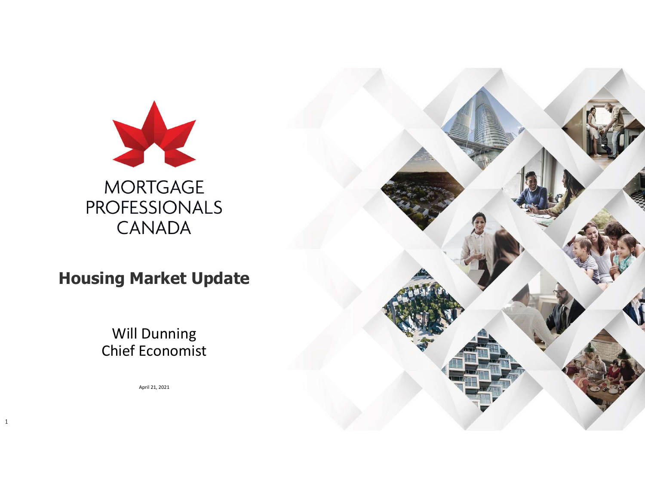

Housing Market Update

#### Will Dunning Chief Economist

April 21, 2021

1

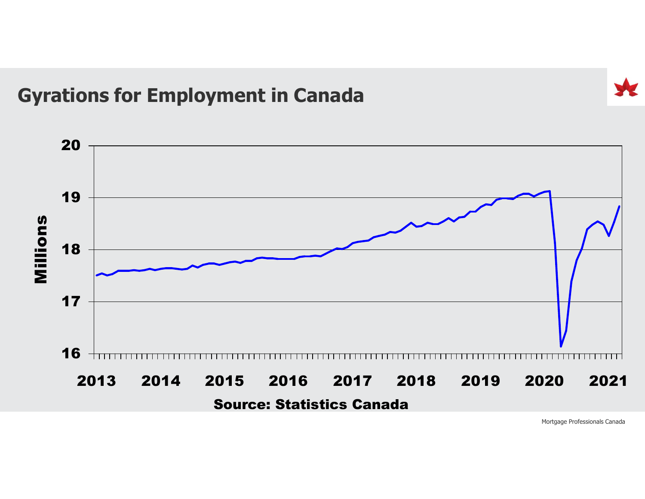#### Gyrations for Employment in Canada

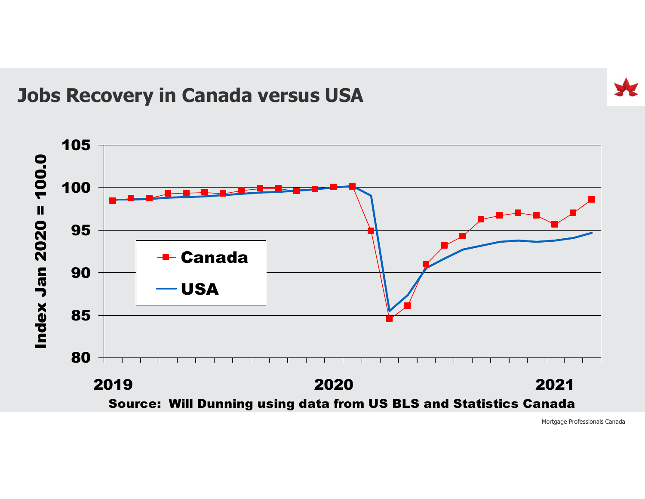#### Jobs Recovery in Canada versus USA

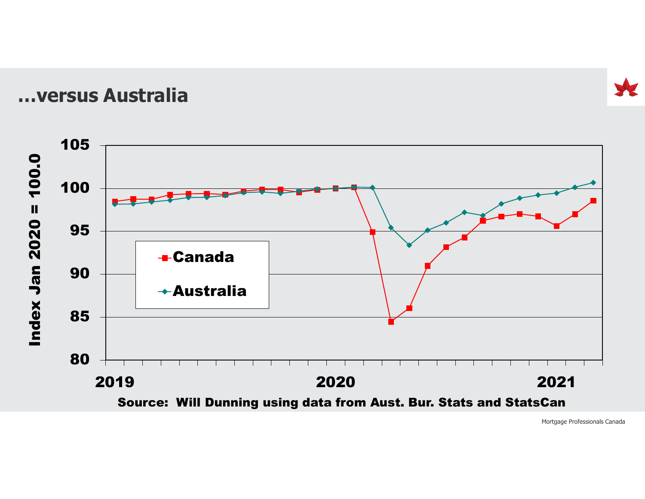…versus Australia

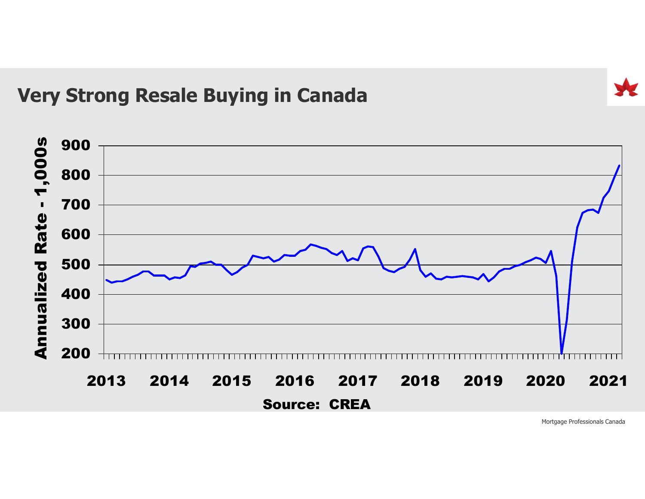#### Very Strong Resale Buying in Canada

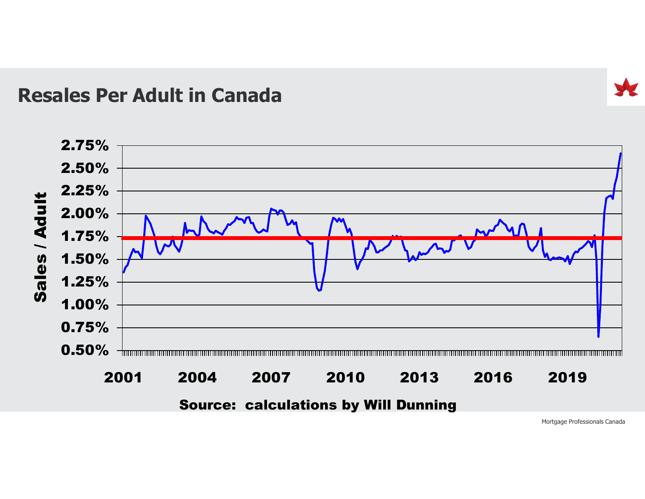#### Resales Per Adult in Canada

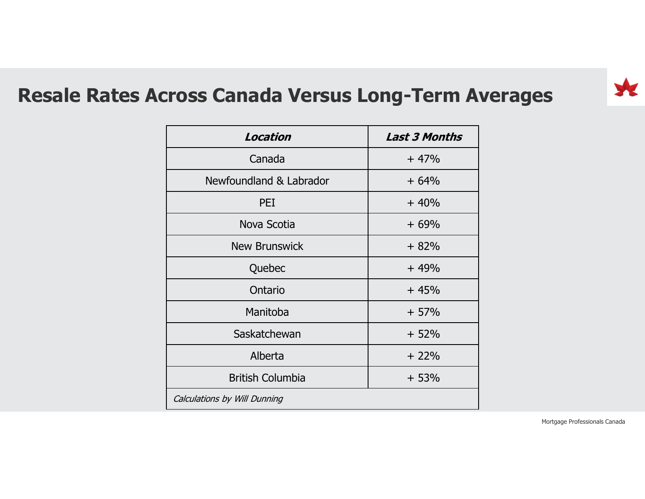#### Resale Rates Across Canada Versus Long-Term Averages

| ross Canada Versus Long-Term Averages |                      |
|---------------------------------------|----------------------|
|                                       |                      |
|                                       |                      |
|                                       |                      |
|                                       |                      |
|                                       |                      |
|                                       |                      |
| Location                              | <b>Last 3 Months</b> |
| Canada                                | $+47%$               |
| Newfoundland & Labrador               | $+64%$               |
| PEI                                   | $+40%$               |
| Nova Scotia                           | $+69%$               |
| <b>New Brunswick</b>                  | $+82%$               |
| Quebec                                | $+49%$               |
| Ontario                               | $+45%$               |
| Manitoba                              | $+57%$               |
| Saskatchewan                          | $+52%$               |
| Alberta                               | $+22%$               |
|                                       | $+53%$               |
| <b>British Columbia</b>               |                      |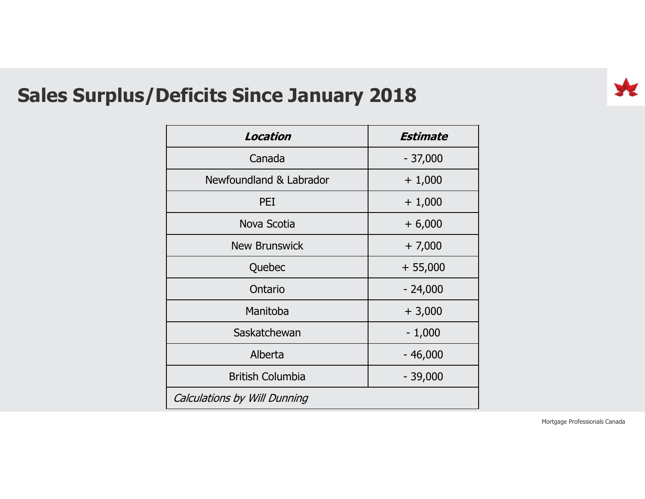

#### Sales Surplus/Deficits Since January 2018

| <b>eficits Since January 2018</b> |                 |                               |  |  |
|-----------------------------------|-----------------|-------------------------------|--|--|
| Location                          | <b>Estimate</b> |                               |  |  |
| Canada                            | $-37,000$       |                               |  |  |
| Newfoundland & Labrador           | $+1,000$        |                               |  |  |
| PEI                               | $+1,000$        |                               |  |  |
| Nova Scotia                       | $+6,000$        |                               |  |  |
| <b>New Brunswick</b>              | $+7,000$        |                               |  |  |
| Quebec                            | $+ 55,000$      |                               |  |  |
| Ontario                           | $-24,000$       |                               |  |  |
| Manitoba                          | $+3,000$        |                               |  |  |
| Saskatchewan                      | $-1,000$        |                               |  |  |
| Alberta                           | $-46,000$       |                               |  |  |
| <b>British Columbia</b>           | $-39,000$       |                               |  |  |
| Calculations by Will Dunning      |                 |                               |  |  |
|                                   |                 | Mortgage Professionals Canada |  |  |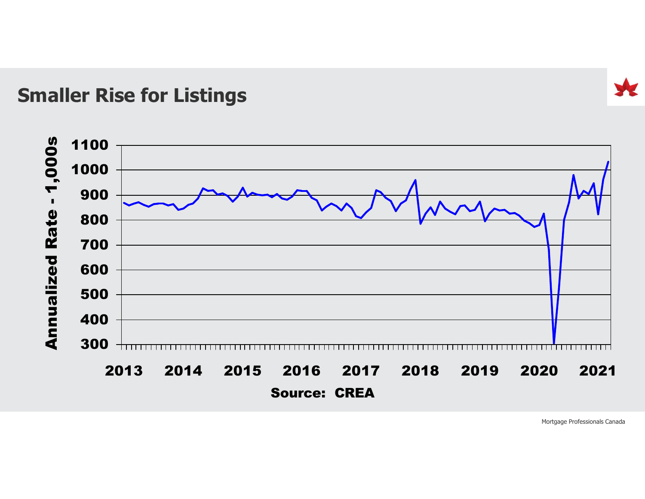#### Smaller Rise for Listings

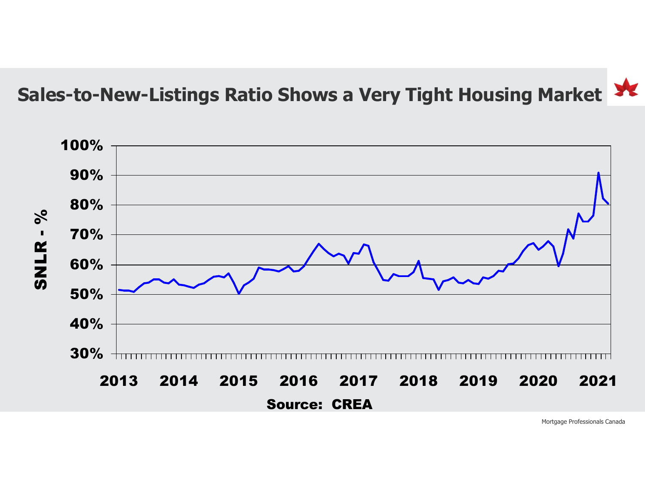## Sales-to-New-Listings Ratio Shows a Very Tight Housing Market

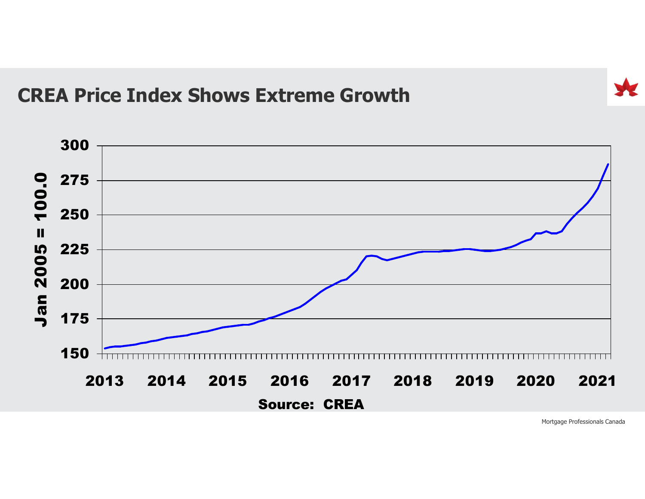#### CREA Price Index Shows Extreme Growth

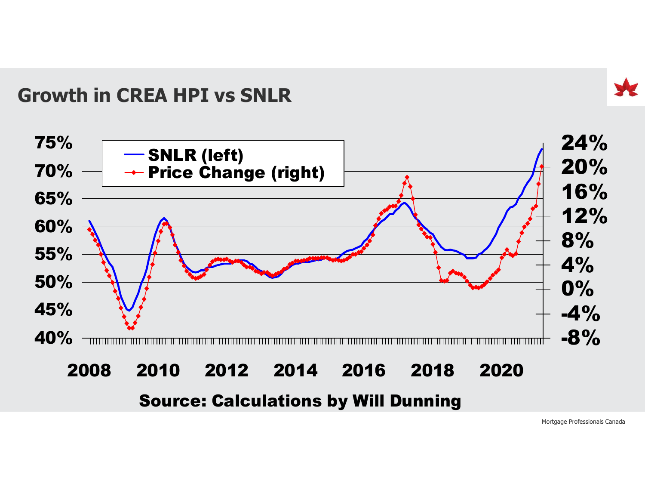#### Growth in CREA HPI vs SNLR



#### Source: Calculations by Will Dunning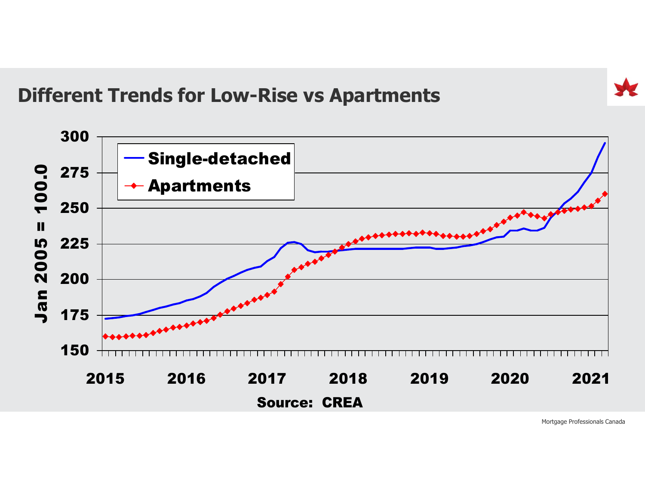Different Trends for Low-Rise vs Apartments

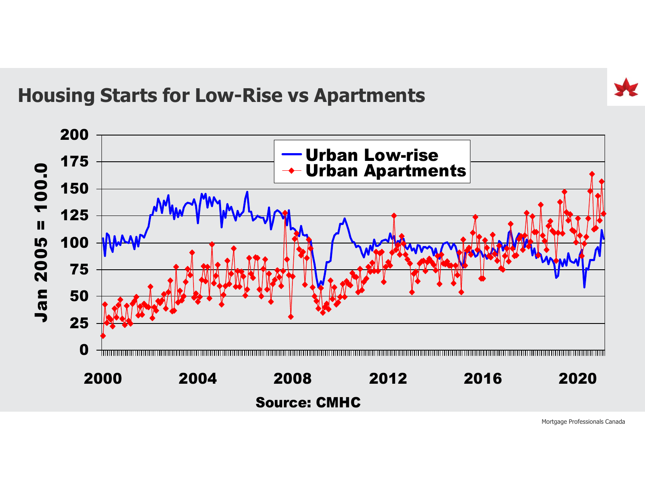#### Housing Starts for Low-Rise vs Apartments

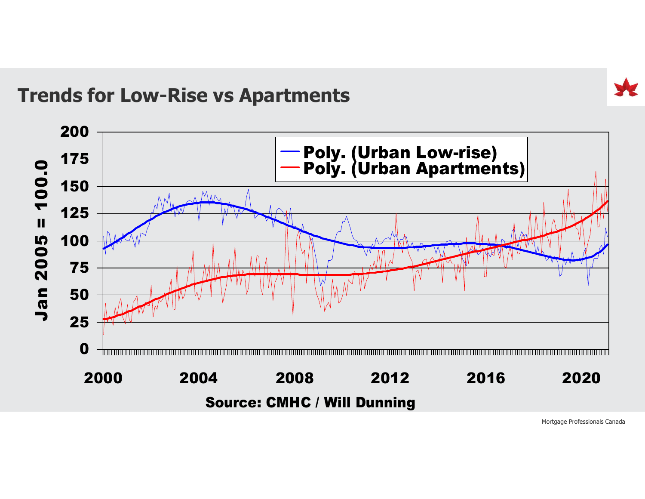Trends for Low-Rise vs Apartments

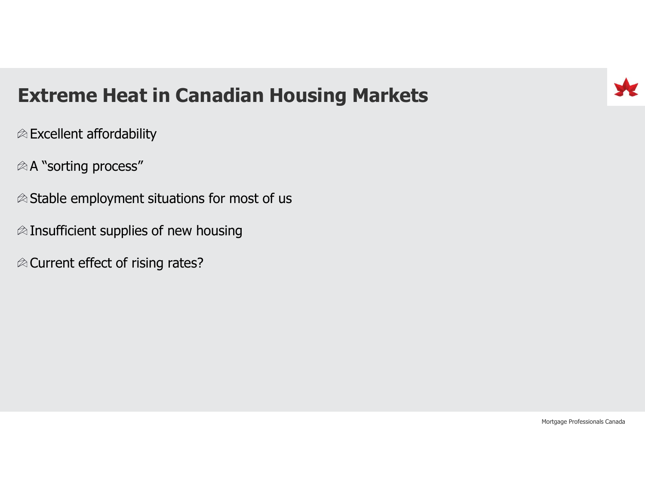## Extreme Heat in Canadian Housing Markets

 $\otimes$  Excellent affordability

A "sorting process"

 $\otimes$  Stable employment situations for most of us

 $\otimes$  Insufficient supplies of new housing

 $\otimes$  Current effect of rising rates?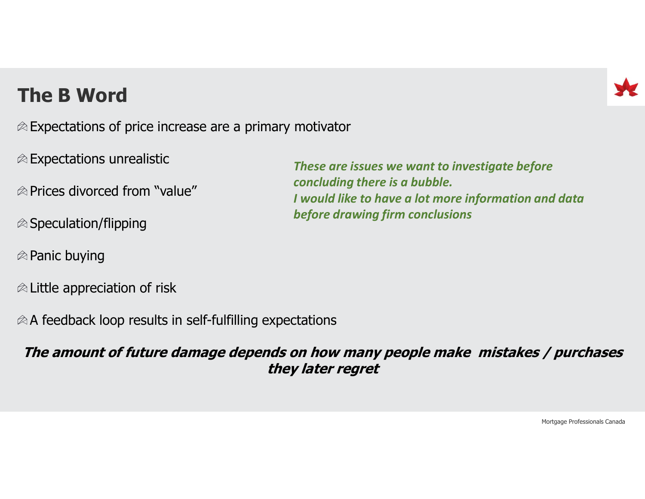### The B Word

 $\otimes$  Expectations of price increase are a primary motivator

- $\otimes$  Expectations unrealistic
- $\otimes$  Prices divorced from "value"
- $\otimes$  Speculation/flipping
- $\otimes$  Panic buying
- $\otimes$  Little appreciation of risk

 $\otimes$  A feedback loop results in self-fulfilling expectations

#### The amount of future damage depends on how many people make mistakes / purchases they later regret

These are issues we want to investigate before concluding there is a bubble. I would like to have a lot more information and data before drawing firm conclusions



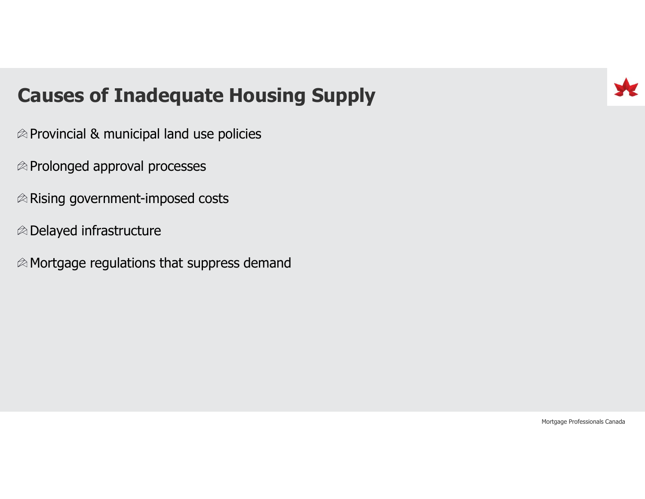#### Causes of Inadequate Housing Supply

- $\otimes$  Provincial & municipal land use policies
- $\otimes$  Prolonged approval processes
- $\otimes$  Rising government-imposed costs
- Delayed infrastructure
- $\otimes$  Mortgage regulations that suppress demand

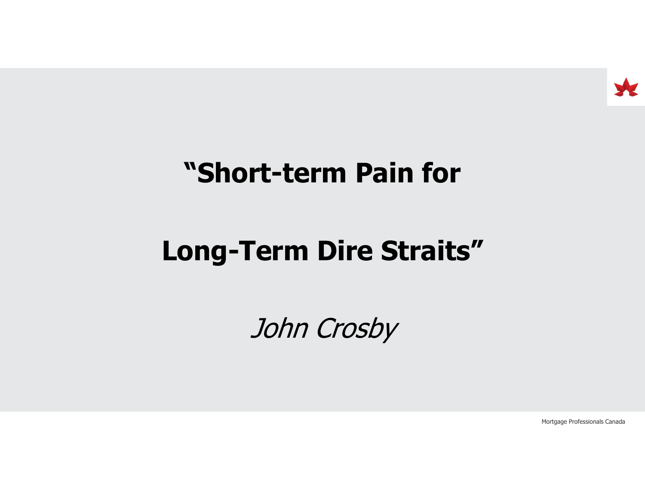

## "Short-term Pain for

# Long-Term Dire Straits"

John Crosby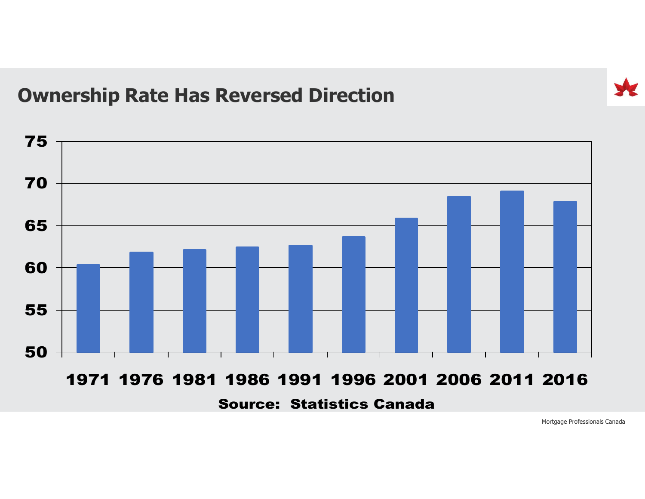#### Ownership Rate Has Reversed Direction

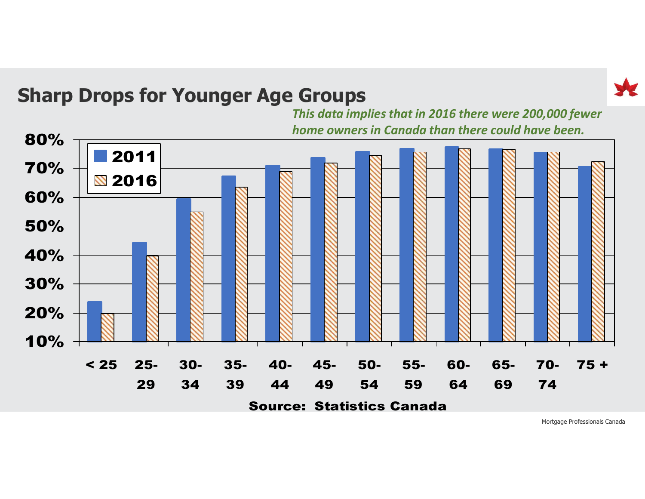

#### Sharp Drops for Younger Age Groups

This data implies that in 2016 there were 200,000 fewer home owners in Canada than there could have been.

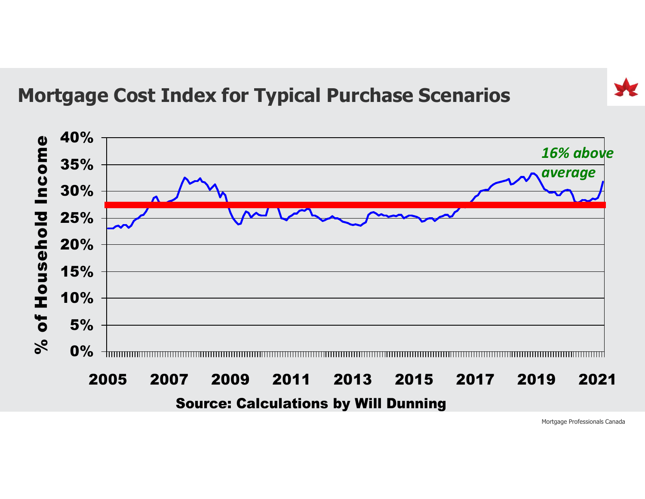### Mortgage Cost Index for Typical Purchase Scenarios

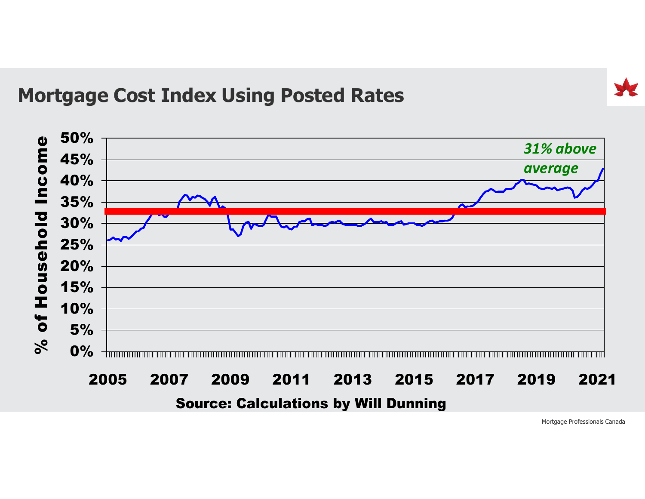#### Mortgage Cost Index Using Posted Rates

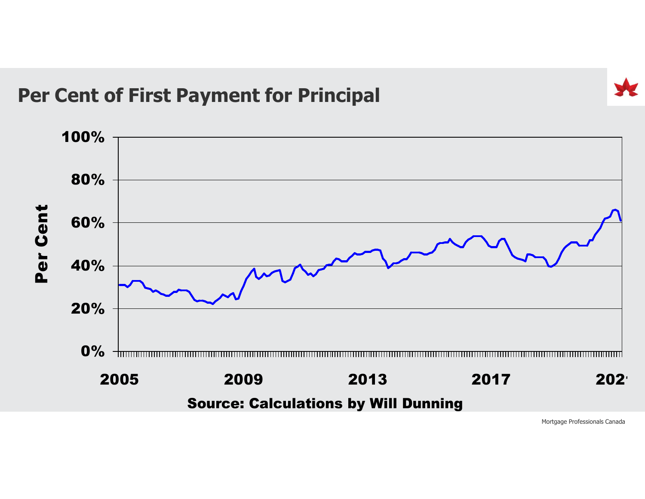### Per Cent of First Payment for Principal

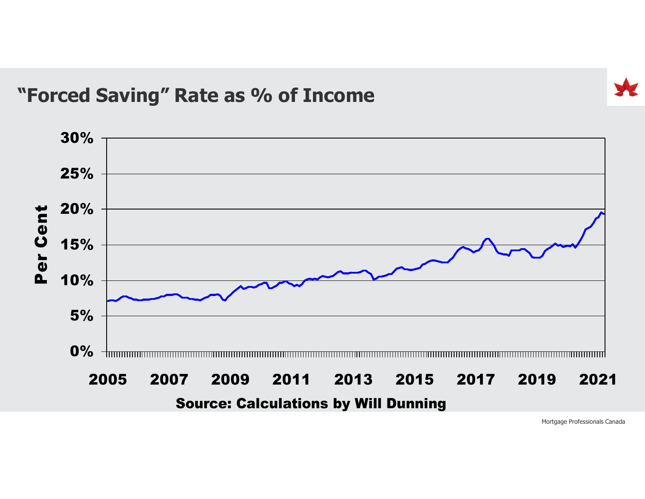#### "Forced Saving" Rate as % of Income

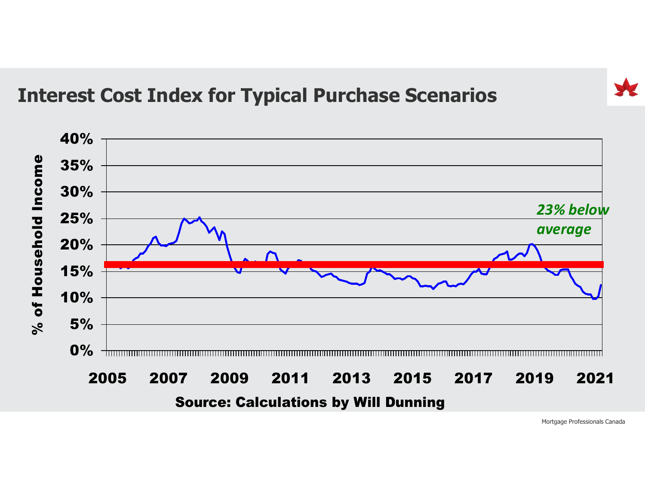#### Interest Cost Index for Typical Purchase Scenarios

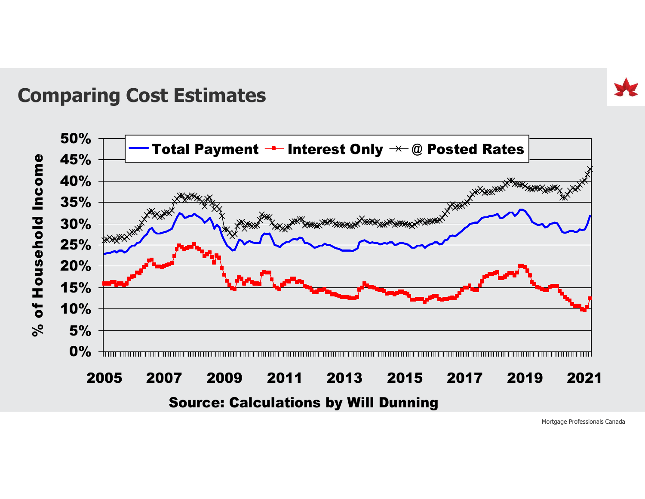

#### Comparing Cost Estimates

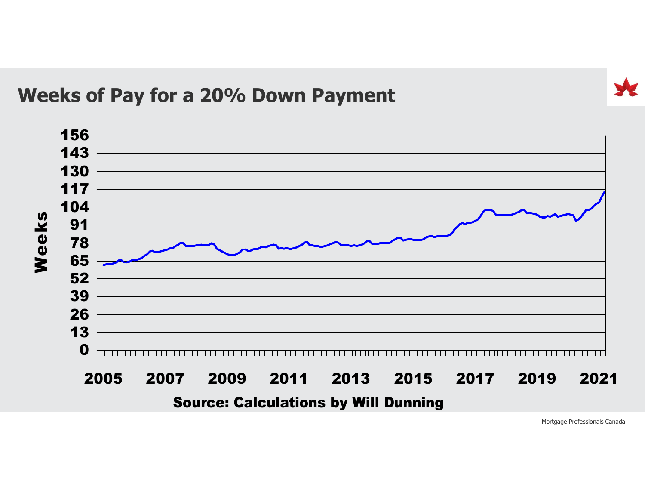

#### Weeks of Pay for a 20% Down Payment

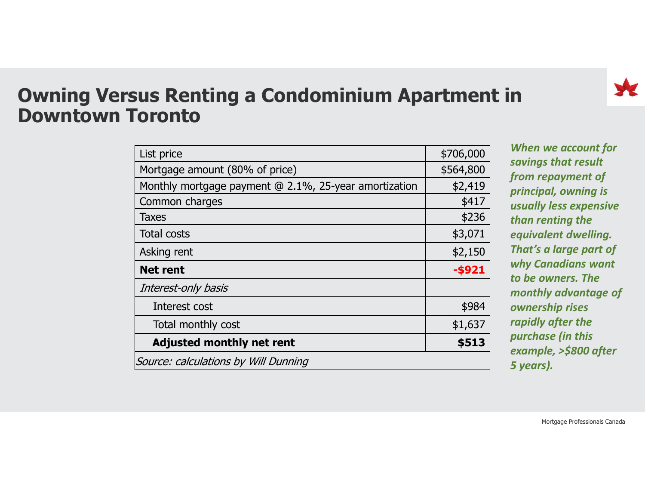

#### Owning Versus Renting a Condominium Apartment in Downtown Toronto

| us Renting a Condominium Apartment in                 |           |                                                |
|-------------------------------------------------------|-----------|------------------------------------------------|
| oronto                                                |           |                                                |
|                                                       |           |                                                |
| List price                                            | \$706,000 | When we account for                            |
| Mortgage amount (80% of price)                        | \$564,800 | savings that result                            |
| Monthly mortgage payment @ 2.1%, 25-year amortization | \$2,419   | from repayment of                              |
| Common charges                                        | \$417     | principal, owning is<br>usually less expensive |
| <b>Taxes</b>                                          | \$236     | than renting the                               |
| <b>Total costs</b>                                    | \$3,071   | equivalent dwelling.                           |
| Asking rent                                           | \$2,150   | That's a large part of                         |
| <b>Net rent</b>                                       | $-$ \$921 | why Canadians want                             |
| Interest-only basis                                   |           | to be owners. The<br>monthly advantage of      |
| Interest cost                                         | \$984     | ownership rises                                |
|                                                       | \$1,637   | rapidly after the                              |
| Total monthly cost                                    |           | purchase (in this<br>example, >\$800 after     |
| <b>Adjusted monthly net rent</b>                      | \$513     |                                                |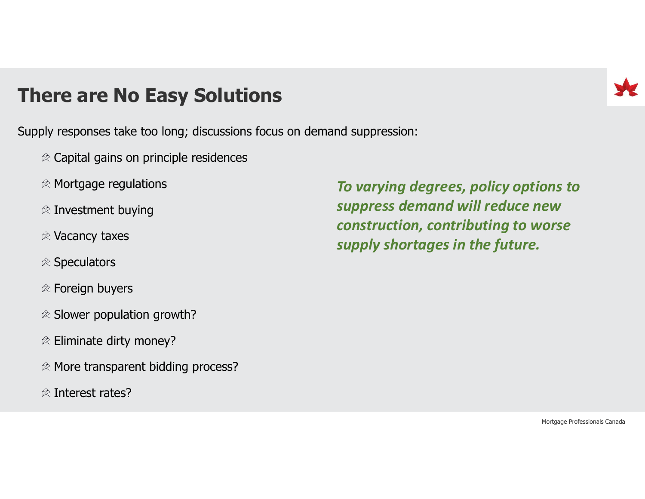#### There are No Easy Solutions

- Supply responses take too long; discussions focus on demand suppression:
	- $\otimes$  Capital gains on principle residences
	- $\otimes$  Mortgage regulations
	- $\otimes$  Investment buying
	- Vacancy taxes
	- $\otimes$  Speculators
	- Foreign buyers
	- $\otimes$  Slower population growth?
	- $\otimes$  Eliminate dirty money?
	- $\otimes$  More transparent bidding process?
	- $\otimes$  Interest rates?

To varying degrees, policy options to suppress demand will reduce new construction, contributing to worse supply shortages in the future.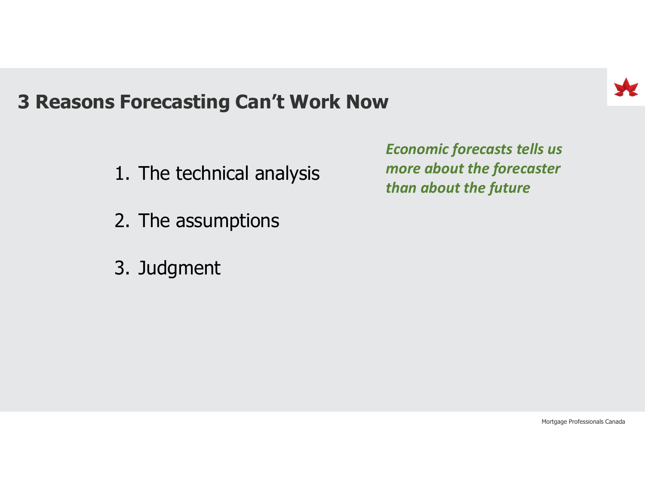

# 3 Reasons Forecasting Can't Work Now Forecasting Can't Work Now<br>Econor<br>1. The technical analysis<br>2. The assumptions Forecasting Can't Work Now<br>Ecc<br>1. The technical analysis<br>2. The assumptions<br>3. Judament Forecasting Can't Work Now<br>Ecception Canalysis<br>1. The technical analysis<br>2. The assumptions<br>3. Judgment

- 
- 
- 

Economic forecasts tells us more about the forecaster than about the future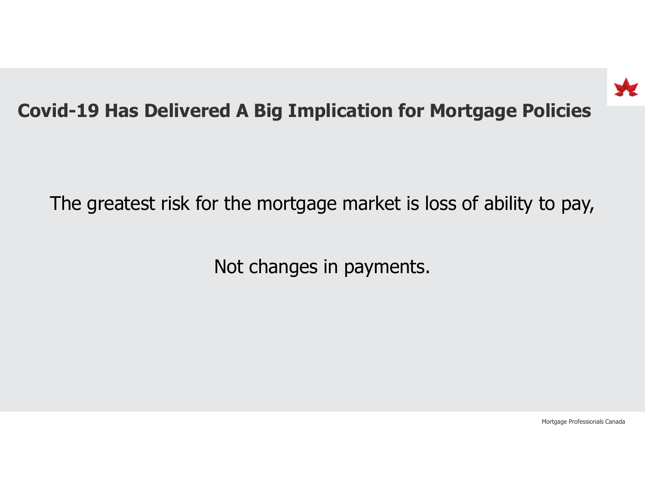

#### Covid-19 Has Delivered A Big Implication for Mortgage Policies

The greatest risk for the mortgage market is loss of ability to pay,

Not changes in payments.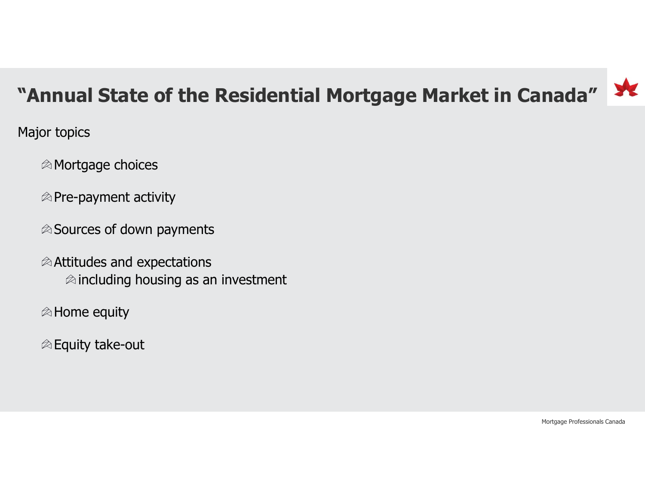## "Annual State of the Residential Mortgage Market in Canada"

Major topics

Mortgage choices

 $\otimes$  Pre-payment activity

 $\otimes$  Sources of down payments

 $\otimes$  Attitudes and expectations  $\otimes$  including housing as an investment

 $\otimes$  Home equity

 $\otimes$  Equity take-out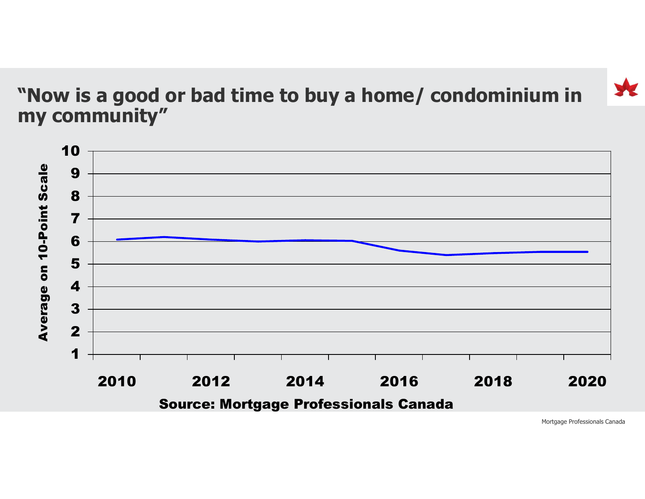#### "Now is a good or bad time to buy a home/ condominium in my community"

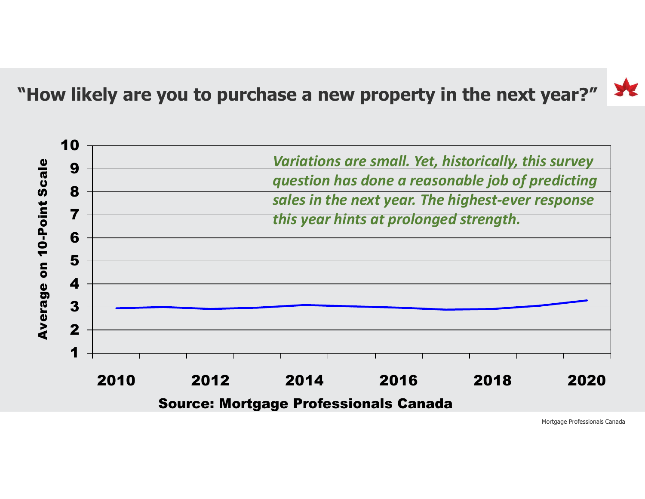"How likely are you to purchase a new property in the next year?"

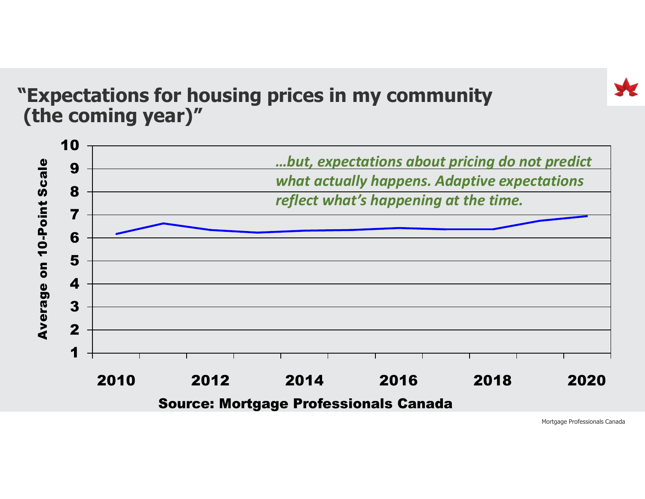#### "Expectations for housing prices in my community (the coming year)"

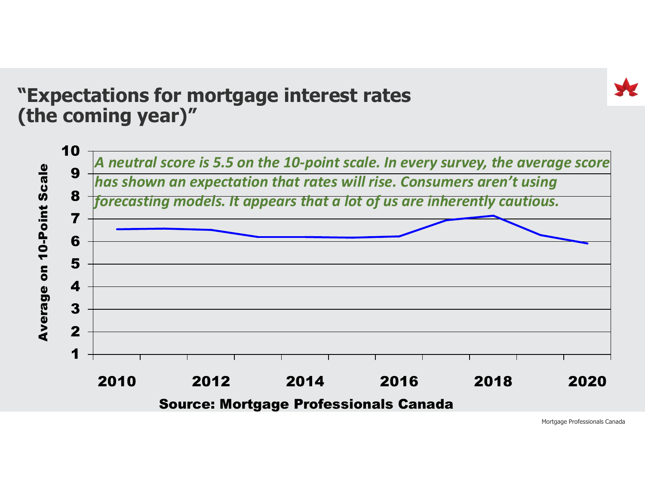#### "Expectations for mortgage interest rates (the coming year)"

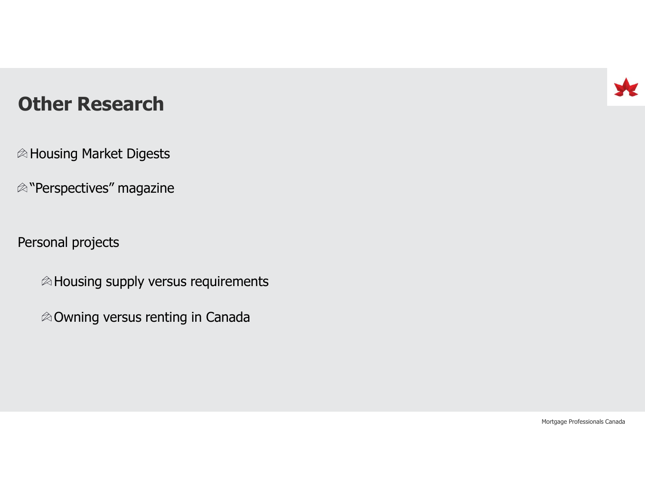#### Other Research

 $\otimes$  Housing Market Digests

 $\otimes$  "Perspectives" magazine

Personal projects

 $\otimes$  Housing supply versus requirements

 $\otimes$  Owning versus renting in Canada